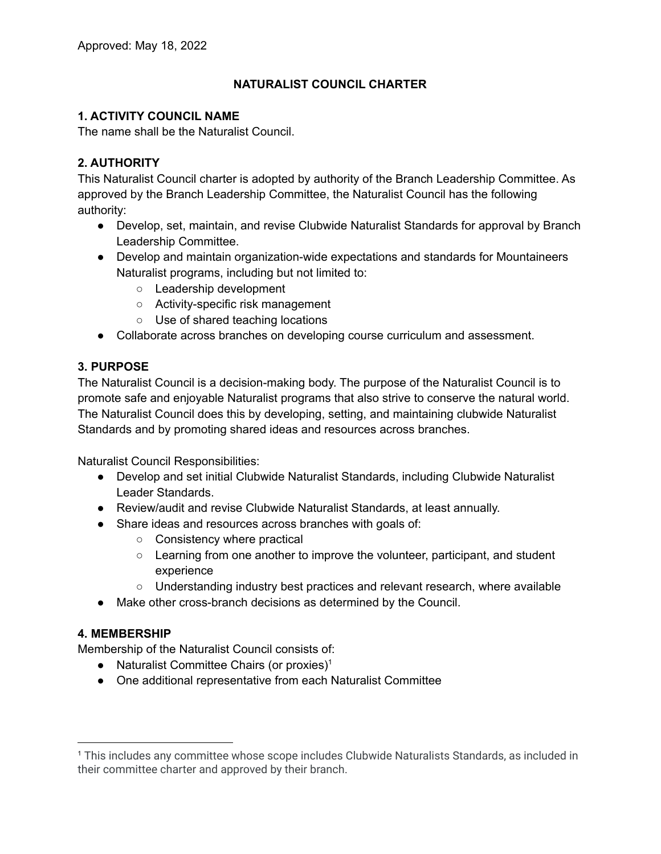# **NATURALIST COUNCIL CHARTER**

# **1. ACTIVITY COUNCIL NAME**

The name shall be the Naturalist Council.

# **2. AUTHORITY**

This Naturalist Council charter is adopted by authority of the Branch Leadership Committee. As approved by the Branch Leadership Committee, the Naturalist Council has the following authority:

- Develop, set, maintain, and revise Clubwide Naturalist Standards for approval by Branch Leadership Committee.
- Develop and maintain organization-wide expectations and standards for Mountaineers Naturalist programs, including but not limited to:
	- Leadership development
	- Activity-specific risk management
	- Use of shared teaching locations
- Collaborate across branches on developing course curriculum and assessment.

# **3. PURPOSE**

The Naturalist Council is a decision-making body. The purpose of the Naturalist Council is to promote safe and enjoyable Naturalist programs that also strive to conserve the natural world. The Naturalist Council does this by developing, setting, and maintaining clubwide Naturalist Standards and by promoting shared ideas and resources across branches.

Naturalist Council Responsibilities:

- Develop and set initial Clubwide Naturalist Standards, including Clubwide Naturalist Leader Standards.
- Review/audit and revise Clubwide Naturalist Standards, at least annually.
- Share ideas and resources across branches with goals of:
	- Consistency where practical
	- Learning from one another to improve the volunteer, participant, and student experience
	- Understanding industry best practices and relevant research, where available
- Make other cross-branch decisions as determined by the Council.

## **4. MEMBERSHIP**

Membership of the Naturalist Council consists of:

- Naturalist Committee Chairs (or proxies)<sup>1</sup>
- One additional representative from each Naturalist Committee

<sup>1</sup> This includes any committee whose scope includes Clubwide Naturalists Standards, as included in their committee charter and approved by their branch.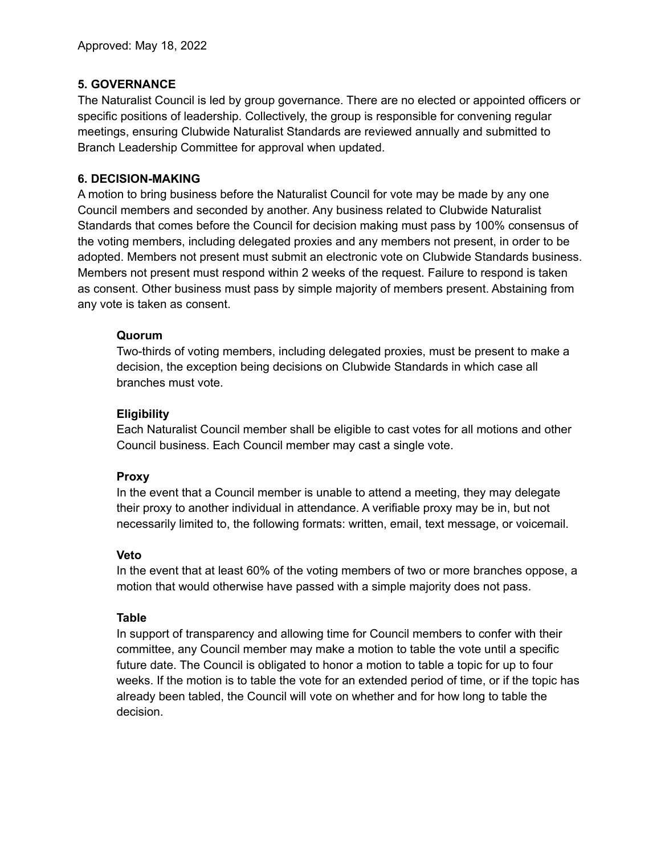## **5. GOVERNANCE**

The Naturalist Council is led by group governance. There are no elected or appointed officers or specific positions of leadership. Collectively, the group is responsible for convening regular meetings, ensuring Clubwide Naturalist Standards are reviewed annually and submitted to Branch Leadership Committee for approval when updated.

### **6. DECISION-MAKING**

A motion to bring business before the Naturalist Council for vote may be made by any one Council members and seconded by another. Any business related to Clubwide Naturalist Standards that comes before the Council for decision making must pass by 100% consensus of the voting members, including delegated proxies and any members not present, in order to be adopted. Members not present must submit an electronic vote on Clubwide Standards business. Members not present must respond within 2 weeks of the request. Failure to respond is taken as consent. Other business must pass by simple majority of members present. Abstaining from any vote is taken as consent.

## **Quorum**

Two-thirds of voting members, including delegated proxies, must be present to make a decision, the exception being decisions on Clubwide Standards in which case all branches must vote.

## **Eligibility**

Each Naturalist Council member shall be eligible to cast votes for all motions and other Council business. Each Council member may cast a single vote.

#### **Proxy**

In the event that a Council member is unable to attend a meeting, they may delegate their proxy to another individual in attendance. A verifiable proxy may be in, but not necessarily limited to, the following formats: written, email, text message, or voicemail.

#### **Veto**

In the event that at least 60% of the voting members of two or more branches oppose, a motion that would otherwise have passed with a simple majority does not pass.

#### **Table**

In support of transparency and allowing time for Council members to confer with their committee, any Council member may make a motion to table the vote until a specific future date. The Council is obligated to honor a motion to table a topic for up to four weeks. If the motion is to table the vote for an extended period of time, or if the topic has already been tabled, the Council will vote on whether and for how long to table the decision.